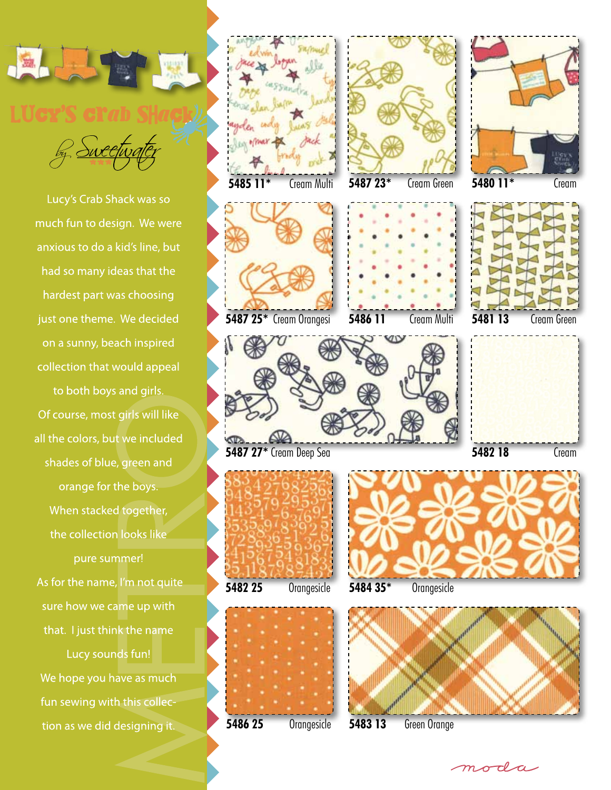

Lucy's Crab Shack was so much fun to design. We were anxious to do a kid's line, but had so many ideas that the hardest part was choosing just one theme. We decided on a sunny, beach inspired collection that would appeal to both boys and girls. Of course, most girls will like all the colors, but we included shades of blue, green and orange for the boys. When stacked together, the collection looks like pure summer! As for the name, I'm not quite sure how we came up with that. I just think the name Lucy sounds fun!

We hope you have as much fun sewing with this collection as we did designing it.



moda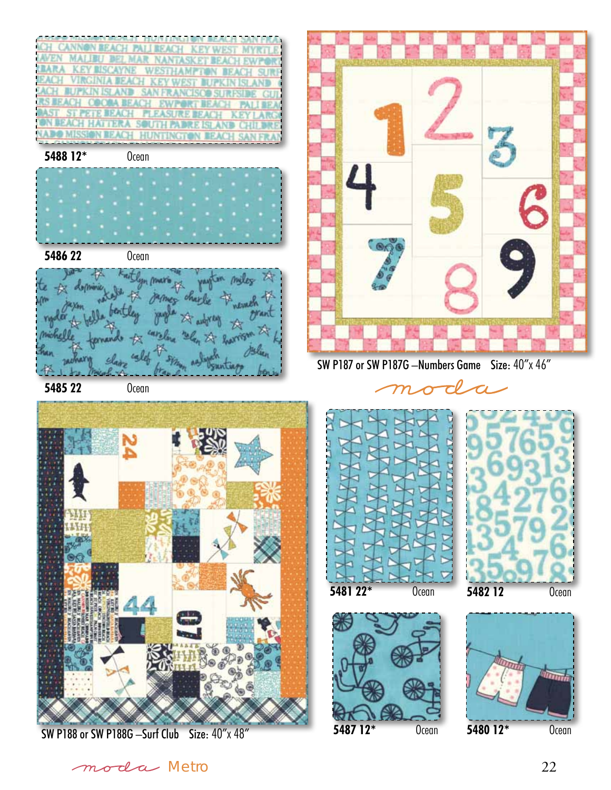

SW P188 or SW P188G –Surf Club Size: 40"x 48"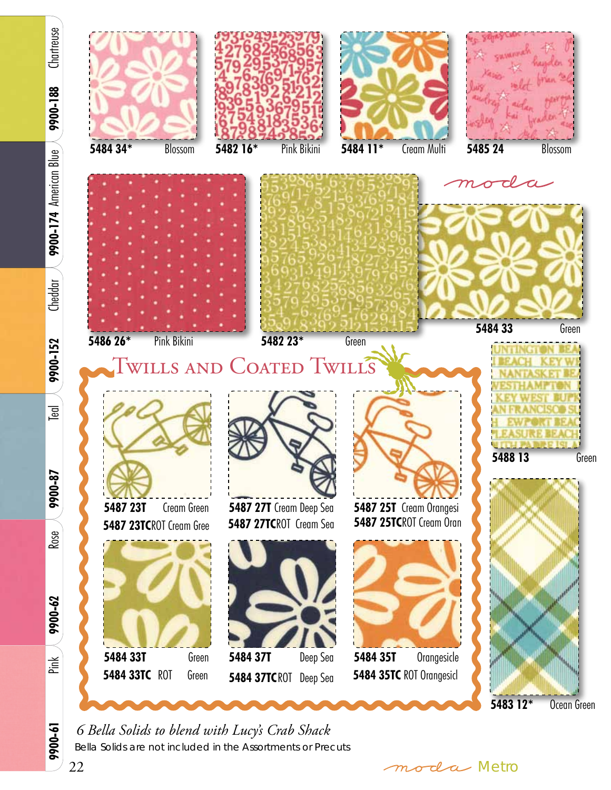

*6 Bella Solids to blend with Lucy's Crab Shack* Bella Solids are not included in the Assortments or Precuts

22 moda Metro

9900-61